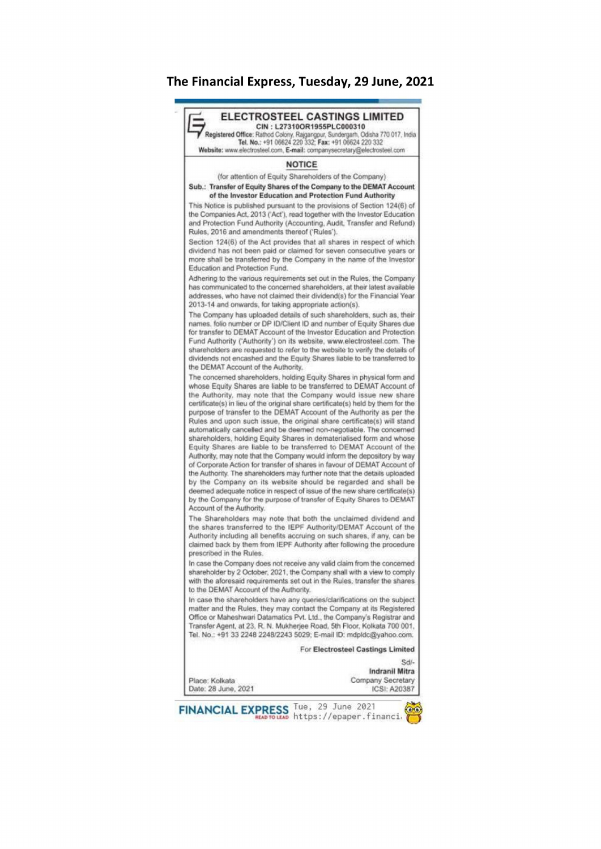## The Financial Express, Tuesday, 29 June, 2021 **he Financial Express,<br>Altermination Express,**



FINANCIAL EXPRESS Tue, 29 June 2021